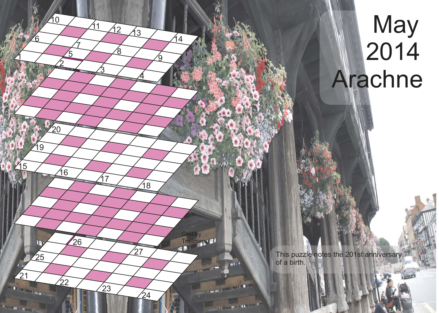## **May** ● 2014 Arachne

This puzzle notes the 201st anniversary of a birth.

21

**Ritire Committee** 

25

n

 $\overline{1}$ 

15

6

<u>2</u>

16

 $22$ 

 $26$ 

 $\mathbb{Z}^2$ 

 $19$ 

10

 $\sqrt{5}$ 

 $\mathcal{I}$ 

<u>ვ</u>

17

 $\sqrt{23}$ 

8

 $11 \overline{12} \overline{13}$ 

 $\overline{4}$ 

 $\sqrt{18}$ 

24

 $27$ 

<u>ର</u>

 $\sqrt{4}$ 

Grid by Trailman

**DATES** 

 $\blacksquare$